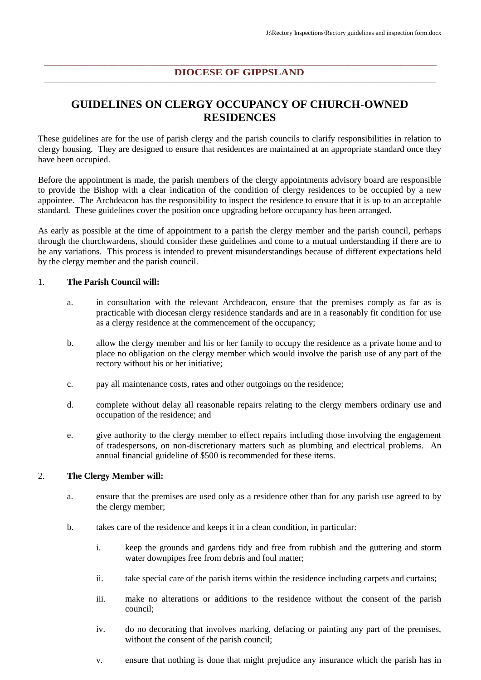### **DIOCESE OF GIPPSLAND**

## **GUIDELINES ON CLERGY OCCUPANCY OF CHURCH-OWNED RESIDENCES**

These guidelines are for the use of parish clergy and the parish councils to clarify responsibilities in relation to clergy housing. They are designed to ensure that residences are maintained at an appropriate standard once they have been occupied.

Before the appointment is made, the parish members of the clergy appointments advisory board are responsible to provide the Bishop with a clear indication of the condition of clergy residences to be occupied by a new appointee. The Archdeacon has the responsibility to inspect the residence to ensure that it is up to an acceptable standard. These guidelines cover the position once upgrading before occupancy has been arranged.

As early as possible at the time of appointment to a parish the clergy member and the parish council, perhaps through the churchwardens, should consider these guidelines and come to a mutual understanding if there are to be any variations. This process is intended to prevent misunderstandings because of different expectations held by the clergy member and the parish council.

#### 1. **The Parish Council will:**

- a. in consultation with the relevant Archdeacon, ensure that the premises comply as far as is practicable with diocesan clergy residence standards and are in a reasonably fit condition for use as a clergy residence at the commencement of the occupancy;
- b. allow the clergy member and his or her family to occupy the residence as a private home and to place no obligation on the clergy member which would involve the parish use of any part of the rectory without his or her initiative;
- c. pay all maintenance costs, rates and other outgoings on the residence;
- d. complete without delay all reasonable repairs relating to the clergy members ordinary use and occupation of the residence; and
- e. give authority to the clergy member to effect repairs including those involving the engagement of tradespersons, on non-discretionary matters such as plumbing and electrical problems. An annual financial guideline of \$500 is recommended for these items.

### 2. **The Clergy Member will:**

- a. ensure that the premises are used only as a residence other than for any parish use agreed to by the clergy member;
- b. takes care of the residence and keeps it in a clean condition, in particular:
	- i. keep the grounds and gardens tidy and free from rubbish and the guttering and storm water downpipes free from debris and foul matter;
	- ii. take special care of the parish items within the residence including carpets and curtains;
	- iii. make no alterations or additions to the residence without the consent of the parish council;
	- iv. do no decorating that involves marking, defacing or painting any part of the premises, without the consent of the parish council;
	- v. ensure that nothing is done that might prejudice any insurance which the parish has in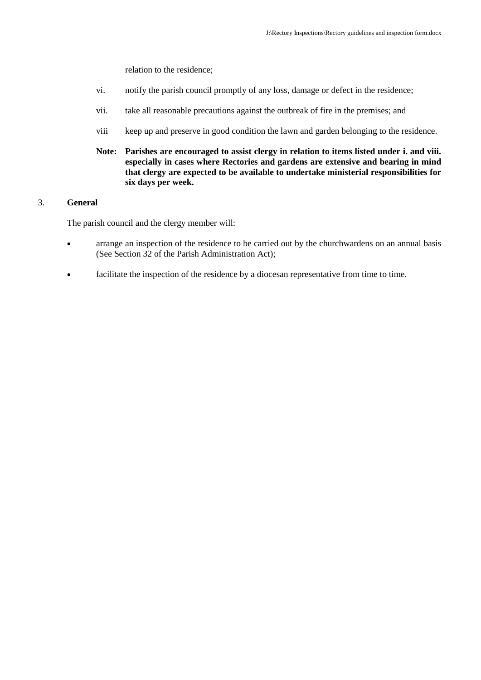relation to the residence;

- vi. notify the parish council promptly of any loss, damage or defect in the residence;
- vii. take all reasonable precautions against the outbreak of fire in the premises; and
- viii keep up and preserve in good condition the lawn and garden belonging to the residence.
- **Note: Parishes are encouraged to assist clergy in relation to items listed under i. and viii. especially in cases where Rectories and gardens are extensive and bearing in mind that clergy are expected to be available to undertake ministerial responsibilities for six days per week.**

### 3. **General**

The parish council and the clergy member will:

- arrange an inspection of the residence to be carried out by the churchwardens on an annual basis (See Section 32 of the Parish Administration Act);
- facilitate the inspection of the residence by a diocesan representative from time to time.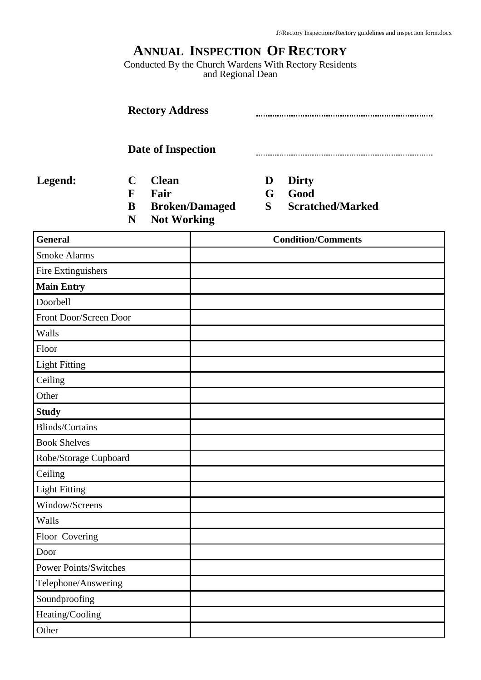# **ANNUAL INSPECTION OF RECTORY**

Conducted By the Church Wardens With Rectory Residents and Regional Dean

| <b>Rectory Address</b><br>Date of Inspection |                                      |                                            |                       |             |                                                 |
|----------------------------------------------|--------------------------------------|--------------------------------------------|-----------------------|-------------|-------------------------------------------------|
|                                              |                                      |                                            |                       |             |                                                 |
| Legend:                                      | $\mathbf C$<br>$\mathbf F$<br>B<br>N | <b>Clean</b><br>Fair<br><b>Not Working</b> | <b>Broken/Damaged</b> | D<br>G<br>S | <b>Dirty</b><br>Good<br><b>Scratched/Marked</b> |
| <b>General</b>                               |                                      |                                            |                       |             | <b>Condition/Comments</b>                       |
| <b>Smoke Alarms</b>                          |                                      |                                            |                       |             |                                                 |
| Fire Extinguishers                           |                                      |                                            |                       |             |                                                 |
| <b>Main Entry</b>                            |                                      |                                            |                       |             |                                                 |
| Doorbell                                     |                                      |                                            |                       |             |                                                 |
| Front Door/Screen Door                       |                                      |                                            |                       |             |                                                 |
| Walls                                        |                                      |                                            |                       |             |                                                 |
| Floor                                        |                                      |                                            |                       |             |                                                 |
| <b>Light Fitting</b>                         |                                      |                                            |                       |             |                                                 |
| Ceiling                                      |                                      |                                            |                       |             |                                                 |
| Other                                        |                                      |                                            |                       |             |                                                 |
| <b>Study</b>                                 |                                      |                                            |                       |             |                                                 |
| <b>Blinds/Curtains</b>                       |                                      |                                            |                       |             |                                                 |
| <b>Book Shelves</b>                          |                                      |                                            |                       |             |                                                 |
| Robe/Storage Cupboard                        |                                      |                                            |                       |             |                                                 |
| Ceiling                                      |                                      |                                            |                       |             |                                                 |
| <b>Light Fitting</b>                         |                                      |                                            |                       |             |                                                 |
| Window/Screens                               |                                      |                                            |                       |             |                                                 |
| Walls                                        |                                      |                                            |                       |             |                                                 |
| Floor Covering                               |                                      |                                            |                       |             |                                                 |
| Door                                         |                                      |                                            |                       |             |                                                 |
| <b>Power Points/Switches</b>                 |                                      |                                            |                       |             |                                                 |
| Telephone/Answering                          |                                      |                                            |                       |             |                                                 |

**Other** 

Soundproofing Heating/Cooling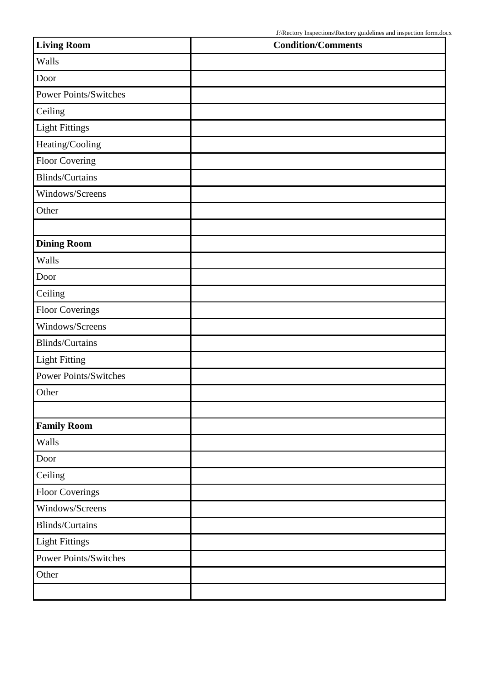| <b>Living Room</b>           | <b>Condition/Comments</b> |
|------------------------------|---------------------------|
| Walls                        |                           |
| Door                         |                           |
| <b>Power Points/Switches</b> |                           |
| Ceiling                      |                           |
| <b>Light Fittings</b>        |                           |
| Heating/Cooling              |                           |
| Floor Covering               |                           |
| <b>Blinds/Curtains</b>       |                           |
| Windows/Screens              |                           |
| Other                        |                           |
|                              |                           |
| <b>Dining Room</b>           |                           |
| Walls                        |                           |
| Door                         |                           |
| Ceiling                      |                           |
| <b>Floor Coverings</b>       |                           |
| Windows/Screens              |                           |
| <b>Blinds/Curtains</b>       |                           |
| <b>Light Fitting</b>         |                           |
| Power Points/Switches        |                           |
| Other                        |                           |
|                              |                           |
| <b>Family Room</b>           |                           |
| Walls                        |                           |
| Door                         |                           |
| Ceiling                      |                           |
| <b>Floor Coverings</b>       |                           |
| Windows/Screens              |                           |
| Blinds/Curtains              |                           |
| <b>Light Fittings</b>        |                           |
| <b>Power Points/Switches</b> |                           |
| Other                        |                           |
|                              |                           |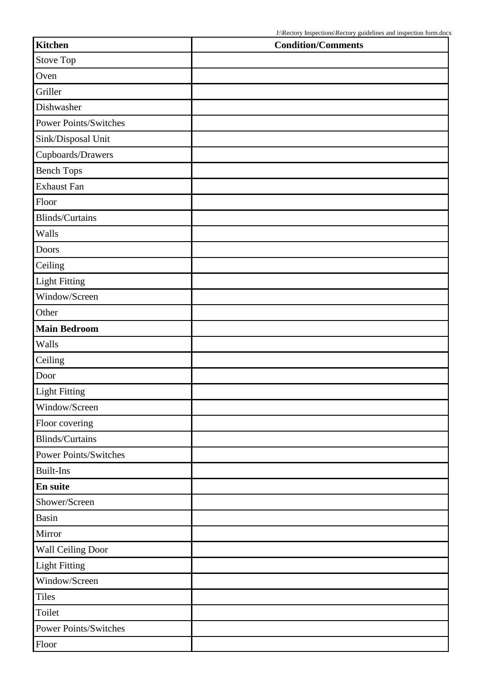| Kitchen                      | <b>Condition/Comments</b> |
|------------------------------|---------------------------|
| Stove Top                    |                           |
| Oven                         |                           |
| Griller                      |                           |
| Dishwasher                   |                           |
| <b>Power Points/Switches</b> |                           |
| Sink/Disposal Unit           |                           |
| Cupboards/Drawers            |                           |
| <b>Bench Tops</b>            |                           |
| <b>Exhaust Fan</b>           |                           |
| Floor                        |                           |
| <b>Blinds/Curtains</b>       |                           |
| Walls                        |                           |
| <b>Doors</b>                 |                           |
| Ceiling                      |                           |
| <b>Light Fitting</b>         |                           |
| Window/Screen                |                           |
| Other                        |                           |
| <b>Main Bedroom</b>          |                           |
| Walls                        |                           |
| Ceiling                      |                           |
| Door                         |                           |
| <b>Light Fitting</b>         |                           |
| Window/Screen                |                           |
| Floor covering               |                           |
| <b>Blinds/Curtains</b>       |                           |
| <b>Power Points/Switches</b> |                           |
| <b>Built-Ins</b>             |                           |
| En suite                     |                           |
| Shower/Screen                |                           |
| Basin                        |                           |
| Mirror                       |                           |
| Wall Ceiling Door            |                           |
| <b>Light Fitting</b>         |                           |
| Window/Screen                |                           |
| <b>Tiles</b>                 |                           |
| Toilet                       |                           |
| Power Points/Switches        |                           |
| Floor                        |                           |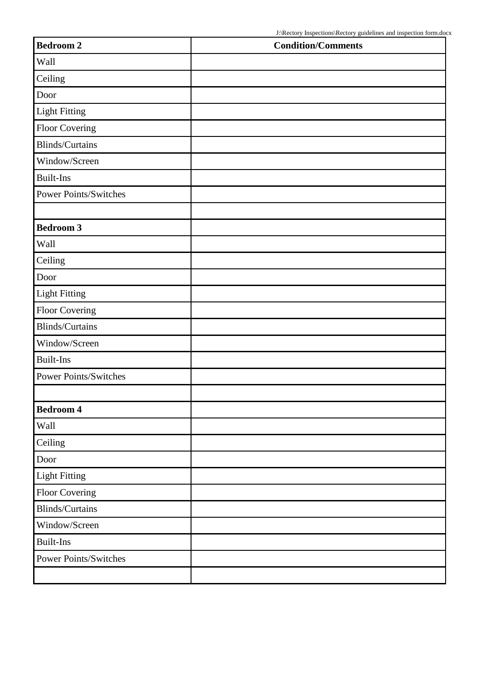| <b>Bedroom 2</b>             | <b>Condition/Comments</b> |
|------------------------------|---------------------------|
| Wall                         |                           |
| Ceiling                      |                           |
| Door                         |                           |
| <b>Light Fitting</b>         |                           |
| Floor Covering               |                           |
| <b>Blinds/Curtains</b>       |                           |
| Window/Screen                |                           |
| <b>Built-Ins</b>             |                           |
| <b>Power Points/Switches</b> |                           |
|                              |                           |
| <b>Bedroom 3</b>             |                           |
| Wall                         |                           |
| Ceiling                      |                           |
| Door                         |                           |
| <b>Light Fitting</b>         |                           |
| Floor Covering               |                           |
| Blinds/Curtains              |                           |
| Window/Screen                |                           |
| <b>Built-Ins</b>             |                           |
| <b>Power Points/Switches</b> |                           |
|                              |                           |
| <b>Bedroom 4</b>             |                           |
| Wall                         |                           |
| Ceiling                      |                           |
| Door                         |                           |
| <b>Light Fitting</b>         |                           |
| Floor Covering               |                           |
| Blinds/Curtains              |                           |
| Window/Screen                |                           |
| <b>Built-Ins</b>             |                           |
| <b>Power Points/Switches</b> |                           |
|                              |                           |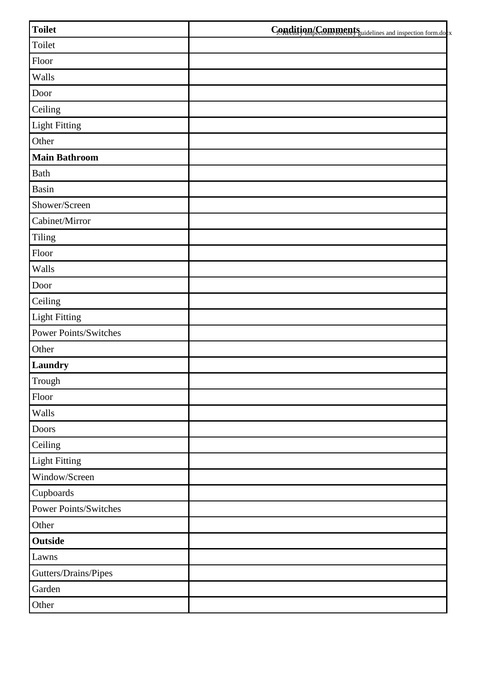| <b>Toilet</b>         | Condition/Comments underlines and inspection form.do x |
|-----------------------|--------------------------------------------------------|
| Toilet                |                                                        |
| Floor                 |                                                        |
| Walls                 |                                                        |
| Door                  |                                                        |
| Ceiling               |                                                        |
| <b>Light Fitting</b>  |                                                        |
| Other                 |                                                        |
| <b>Main Bathroom</b>  |                                                        |
| <b>Bath</b>           |                                                        |
| <b>Basin</b>          |                                                        |
| Shower/Screen         |                                                        |
| Cabinet/Mirror        |                                                        |
| Tiling                |                                                        |
| Floor                 |                                                        |
| Walls                 |                                                        |
| Door                  |                                                        |
| Ceiling               |                                                        |
| <b>Light Fitting</b>  |                                                        |
| Power Points/Switches |                                                        |
| Other                 |                                                        |
| Laundry               |                                                        |
| Trough                |                                                        |
| Floor                 |                                                        |
| Walls                 |                                                        |
| Doors                 |                                                        |
| Ceiling               |                                                        |
| <b>Light Fitting</b>  |                                                        |
| Window/Screen         |                                                        |
| Cupboards             |                                                        |
| Power Points/Switches |                                                        |
| Other                 |                                                        |
| Outside               |                                                        |
| Lawns                 |                                                        |
| Gutters/Drains/Pipes  |                                                        |
| Garden                |                                                        |
| Other                 |                                                        |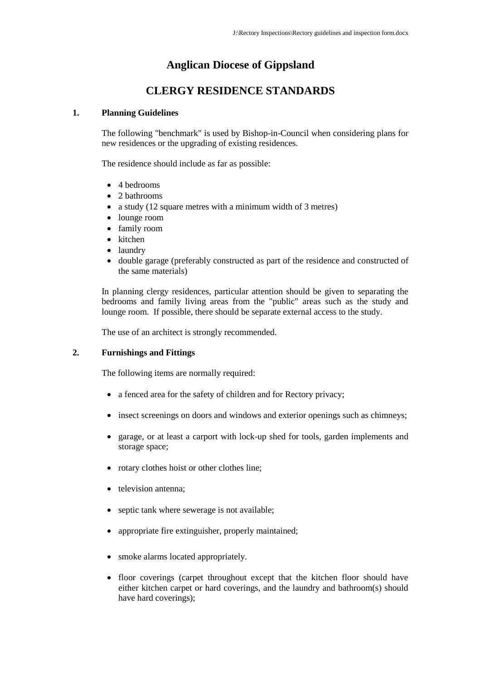## **Anglican Diocese of Gippsland**

## **CLERGY RESIDENCE STANDARDS**

### **1. Planning Guidelines**

The following "benchmark" is used by Bishop-in-Council when considering plans for new residences or the upgrading of existing residences.

The residence should include as far as possible:

- 4 bedrooms
- 2 bathrooms
- a study (12 square metres with a minimum width of 3 metres)
- lounge room
- family room
- kitchen
- laundry
- double garage (preferably constructed as part of the residence and constructed of the same materials)

In planning clergy residences, particular attention should be given to separating the bedrooms and family living areas from the "public" areas such as the study and lounge room. If possible, there should be separate external access to the study.

The use of an architect is strongly recommended.

### **2. Furnishings and Fittings**

The following items are normally required:

- a fenced area for the safety of children and for Rectory privacy;
- insect screenings on doors and windows and exterior openings such as chimneys;
- garage, or at least a carport with lock-up shed for tools, garden implements and storage space;
- rotary clothes hoist or other clothes line;
- television antenna;
- septic tank where sewerage is not available;
- appropriate fire extinguisher, properly maintained;
- smoke alarms located appropriately.
- floor coverings (carpet throughout except that the kitchen floor should have either kitchen carpet or hard coverings, and the laundry and bathroom(s) should have hard coverings);